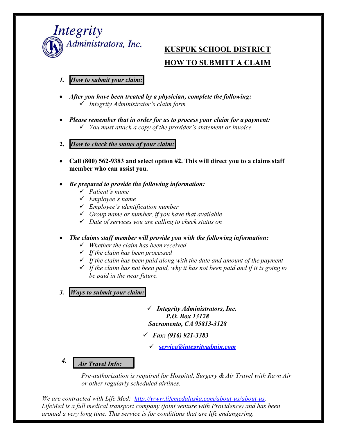

# **KUSPUK SCHOOL DISTRICT HOW TO SUBMITT A CLAIM**

- *1. How to submit your claim:*
- *After you have been treated by a physician, complete the following: Integrity Administrator's claim form*
- *Please remember that in order for us to process your claim for a payment: You must attach a copy of the provider's statement or invoice.*
- **2.** *How to check the status of your claim:*
- **Call (800) 562-9383 and select option #2. This will direct you to a claimsstaff member who can assist you.**
- *Be prepared to provide the following information:*
	- *Patient's name*
	- *Employee's name*
	- *Employee's identification number*
	- *Group name or number, if you have that available*
	- *Date of services you are calling to check status on*
- The claims staff member will provide you with the following *information*:
	- *Whether the claim has been received*
	- *If the claim has been processed*
	- *If the claim has been paid along with the date and amount of the payment*
	- *If the claim has not been paid, why it has not been paid and if it is going to be paid in the near future.*
- *3. Ways to submit your claim:*
- *Integrity Administrators, Inc. P.O. Box 13128 Sacramento, CA 95813-3128*
- *Fax: (916) 921-3383*
	- *[service@integrityadmin.com](mailto:service@integrityadmin.com)*

#### *4. Air Travel Info:*

*Pre-authorization is required for Hospital, Surgery & Air Travel with Ravn Air or other regularly scheduled airlines.*

*We are contracted with Life Med: [http://www.lifemedalaska.com/about-us/about-us.](http://www.lifemedalaska.com/about-us/about-us) LifeMed is a full medical transport company (joint venture with Providence) and has been around a very long time. This service is for conditions that are life endangering.*